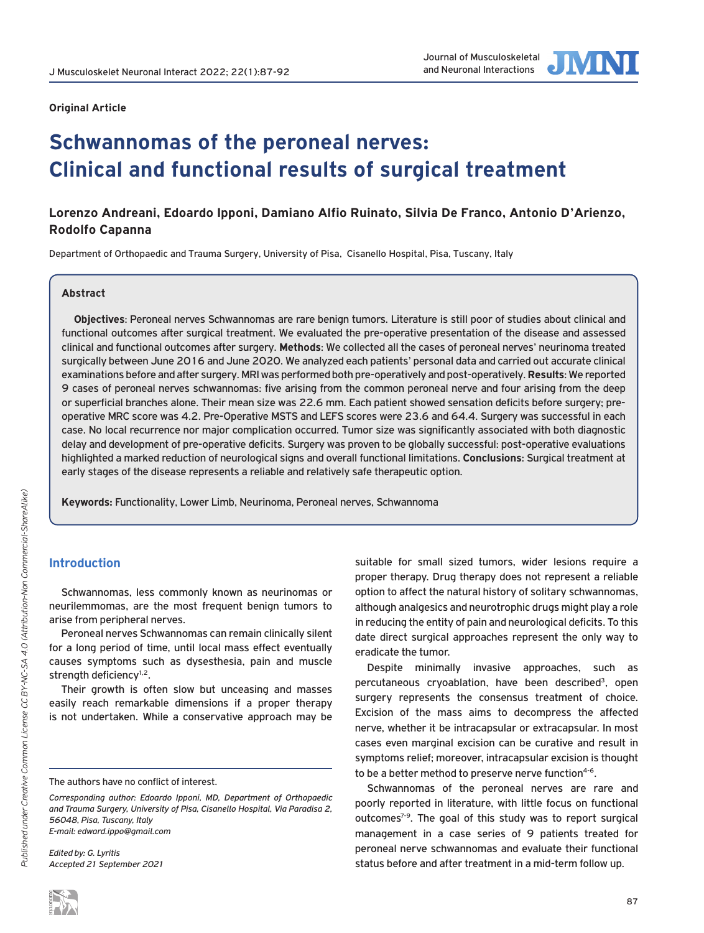

#### **Original Article**

# **Schwannomas of the peroneal nerves: Clinical and functional results of surgical treatment**

## **Lorenzo Andreani, Edoardo Ipponi, Damiano Alfio Ruinato, Silvia De Franco, Antonio D'Arienzo, Rodolfo Capanna**

Department of Orthopaedic and Trauma Surgery, University of Pisa, Cisanello Hospital, Pisa, Tuscany, Italy

## **Abstract**

**Objectives**: Peroneal nerves Schwannomas are rare benign tumors. Literature is still poor of studies about clinical and functional outcomes after surgical treatment. We evaluated the pre-operative presentation of the disease and assessed clinical and functional outcomes after surgery. **Methods**: We collected all the cases of peroneal nerves' neurinoma treated surgically between June 2016 and June 2020. We analyzed each patients' personal data and carried out accurate clinical examinations before and after surgery. MRI was performed both pre-operatively and post-operatively. **Results**: We reported 9 cases of peroneal nerves schwannomas: five arising from the common peroneal nerve and four arising from the deep or superficial branches alone. Their mean size was 22.6 mm. Each patient showed sensation deficits before surgery; preoperative MRC score was 4.2. Pre-Operative MSTS and LEFS scores were 23.6 and 64.4. Surgery was successful in each case. No local recurrence nor major complication occurred. Tumor size was significantly associated with both diagnostic delay and development of pre-operative deficits. Surgery was proven to be globally successful: post-operative evaluations highlighted a marked reduction of neurological signs and overall functional limitations. **Conclusions**: Surgical treatment at early stages of the disease represents a reliable and relatively safe therapeutic option.

**Keywords:** Functionality, Lower Limb, Neurinoma, Peroneal nerves, Schwannoma

## **Introduction**

Schwannomas, less commonly known as neurinomas or neurilemmomas, are the most frequent benign tumors to arise from peripheral nerves.

Peroneal nerves Schwannomas can remain clinically silent for a long period of time, until local mass effect eventually causes symptoms such as dysesthesia, pain and muscle strength deficiency<sup>1,2</sup>.

Their growth is often slow but unceasing and masses easily reach remarkable dimensions if a proper therapy is not undertaken. While a conservative approach may be

*Edited by: G. Lyritis Accepted 21 September 2021* suitable for small sized tumors, wider lesions require a proper therapy. Drug therapy does not represent a reliable option to affect the natural history of solitary schwannomas, although analgesics and neurotrophic drugs might play a role in reducing the entity of pain and neurological deficits. To this date direct surgical approaches represent the only way to eradicate the tumor.

Despite minimally invasive approaches, such as percutaneous cryoablation, have been described<sup>3</sup>, open surgery represents the consensus treatment of choice. Excision of the mass aims to decompress the affected nerve, whether it be intracapsular or extracapsular. In most cases even marginal excision can be curative and result in symptoms relief; moreover, intracapsular excision is thought to be a better method to preserve nerve function<sup>4-6</sup>.

Schwannomas of the peroneal nerves are rare and poorly reported in literature, with little focus on functional outcomes<sup>7-9</sup>. The goal of this study was to report surgical management in a case series of 9 patients treated for peroneal nerve schwannomas and evaluate their functional status before and after treatment in a mid-term follow up.

The authors have no conflict of interest.

*Corresponding author: Edoardo Ipponi, MD, Department of Orthopaedic and Trauma Surgery, University of Pisa, Cisanello Hospital, Via Paradisa 2, 56048, Pisa, Tuscany, Italy E-mail: edward.ippo@gmail.com*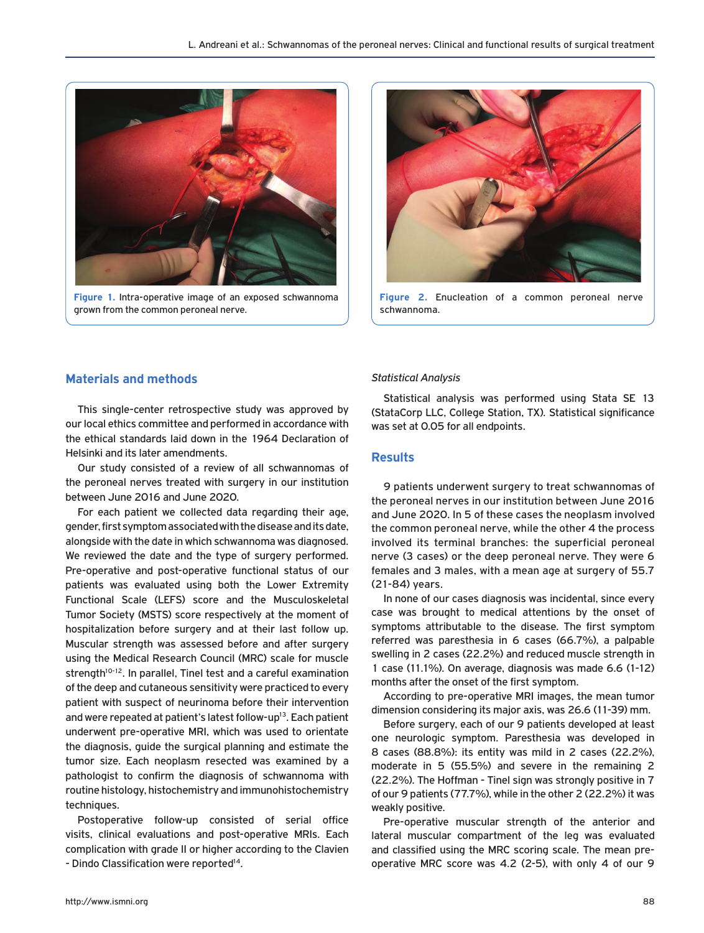

**Figure 1.** Intra-operative image of an exposed schwannoma grown from the common peroneal nerve.



**Figure 2.** Enucleation of a common peroneal nerve schwannoma.

## **Materials and methods**

This single-center retrospective study was approved by our local ethics committee and performed in accordance with the ethical standards laid down in the 1964 Declaration of Helsinki and its later amendments.

Our study consisted of a review of all schwannomas of the peroneal nerves treated with surgery in our institution between June 2016 and June 2020.

For each patient we collected data regarding their age, gender, first symptom associated with the disease and its date, alongside with the date in which schwannoma was diagnosed. We reviewed the date and the type of surgery performed. Pre-operative and post-operative functional status of our patients was evaluated using both the Lower Extremity Functional Scale (LEFS) score and the Musculoskeletal Tumor Society (MSTS) score respectively at the moment of hospitalization before surgery and at their last follow up. Muscular strength was assessed before and after surgery using the Medical Research Council (MRC) scale for muscle strength<sup>10-12</sup>. In parallel, Tinel test and a careful examination of the deep and cutaneous sensitivity were practiced to every patient with suspect of neurinoma before their intervention and were repeated at patient's latest follow-up<sup>13</sup>. Each patient underwent pre-operative MRI, which was used to orientate the diagnosis, guide the surgical planning and estimate the tumor size. Each neoplasm resected was examined by a pathologist to confirm the diagnosis of schwannoma with routine histology, histochemistry and immunohistochemistry techniques.

Postoperative follow-up consisted of serial office visits, clinical evaluations and post-operative MRIs. Each complication with grade II or higher according to the Clavien - Dindo Classification were reported<sup>14</sup>.

#### *Statistical Analysis*

Statistical analysis was performed using Stata SE 13 (StataCorp LLC, College Station, TX). Statistical significance was set at 0.05 for all endpoints.

## **Results**

9 patients underwent surgery to treat schwannomas of the peroneal nerves in our institution between June 2016 and June 2020. In 5 of these cases the neoplasm involved the common peroneal nerve, while the other 4 the process involved its terminal branches: the superficial peroneal nerve (3 cases) or the deep peroneal nerve. They were 6 females and 3 males, with a mean age at surgery of 55.7 (21-84) years.

In none of our cases diagnosis was incidental, since every case was brought to medical attentions by the onset of symptoms attributable to the disease. The first symptom referred was paresthesia in 6 cases (66.7%), a palpable swelling in 2 cases (22.2%) and reduced muscle strength in 1 case (11.1%). On average, diagnosis was made 6.6 (1-12) months after the onset of the first symptom.

According to pre-operative MRI images, the mean tumor dimension considering its major axis, was 26.6 (11-39) mm.

Before surgery, each of our 9 patients developed at least one neurologic symptom. Paresthesia was developed in 8 cases (88.8%): its entity was mild in 2 cases (22.2%), moderate in 5 (55.5%) and severe in the remaining 2 (22.2%). The Hoffman - Tinel sign was strongly positive in 7 of our 9 patients (77.7%), while in the other 2 (22.2%) it was weakly positive.

Pre-operative muscular strength of the anterior and lateral muscular compartment of the leg was evaluated and classified using the MRC scoring scale. The mean preoperative MRC score was 4.2 (2-5), with only 4 of our 9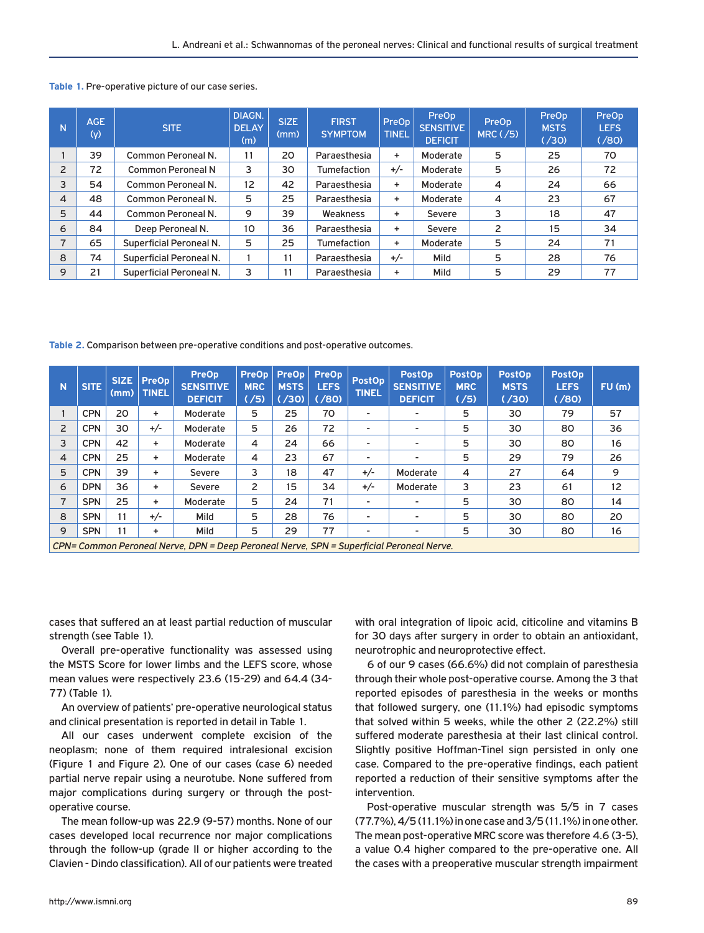|  |  | Table 1. Pre-operative picture of our case series. |  |  |  |
|--|--|----------------------------------------------------|--|--|--|
|--|--|----------------------------------------------------|--|--|--|

| N              | AGE.<br>(y) | <b>SITE</b>                    | DIAGN.<br><b>DELAY</b><br>(m) | <b>SIZE</b><br>(mm) | <b>FIRST</b><br><b>SYMPTOM</b> | PreOp<br><b>TINEL</b> | PreOp<br><b>SENSITIVE</b><br><b>DEFICIT</b> | PreOp<br>$MRC$ ( $/5$ ) | PreOp<br><b>MSTS</b><br>(730) | PreOp<br><b>LEFS</b><br>(780) |
|----------------|-------------|--------------------------------|-------------------------------|---------------------|--------------------------------|-----------------------|---------------------------------------------|-------------------------|-------------------------------|-------------------------------|
|                | 39          | Common Peroneal N.             | 11                            | 20                  | Paraesthesia                   | $\ddot{}$             | Moderate                                    | 5                       | 25                            | 70                            |
| $\overline{2}$ | 72          | <b>Common Peroneal N</b>       | 3                             | 30                  | Tumefaction                    | $+/-$                 | Moderate                                    | 5                       | 26                            | 72                            |
| 3              | 54          | Common Peroneal N.             | 12                            | 42                  | Paraesthesia                   | +                     | Moderate                                    | 4                       | 24                            | 66                            |
| 4              | 48          | Common Peroneal N.             | 5                             | 25                  | Paraesthesia                   | ÷                     | Moderate                                    | $\overline{4}$          | 23                            | 67                            |
| 5              | 44          | Common Peroneal N.             | 9                             | 39                  | Weakness                       | ÷.                    | Severe                                      | 3                       | 18                            | 47                            |
| 6              | 84          | Deep Peroneal N.               | 10                            | 36                  | Paraesthesia                   | ÷                     | Severe                                      | 2                       | 15                            | 34                            |
| $\overline{7}$ | 65          | <b>Superficial Peroneal N.</b> | 5                             | 25                  | Tumefaction                    | +                     | Moderate                                    | 5                       | 24                            | 71                            |
| 8              | 74          | <b>Superficial Peroneal N.</b> |                               | 11                  | Paraesthesia                   | $+/-$                 | Mild                                        | 5                       | 28                            | 76                            |
| 9              | 21          | <b>Superficial Peroneal N.</b> | 3                             | 11                  | Paraesthesia                   | ÷                     | Mild                                        | 5                       | 29                            | 77                            |

**Table 2.** Comparison between pre-operative conditions and post-operative outcomes.

| N              | <b>SITE</b>                                                                       | <b>SIZE</b><br>(mm) | <b>PreOp</b><br><b>TINEL</b> | <b>PreOp</b><br><b>SENSITIVE</b><br><b>DEFICIT</b> | <b>PreOp</b><br><b>MRC</b><br>( /5) | PreOp  <br><b>MSTS</b><br>(730) | <b>PreOp</b><br><b>LEFS</b><br>( / 80) | <b>PostOp</b><br><b>TINEL</b> | <b>PostOp</b><br><b>SENSITIVE</b><br><b>DEFICIT</b> | <b>PostOp</b><br><b>MRC</b><br>(75) | <b>PostOp</b><br><b>MSTS</b><br>( / 30) | <b>PostOp</b><br><b>LEFS</b><br>( / 80) | $FU$ (m) |
|----------------|-----------------------------------------------------------------------------------|---------------------|------------------------------|----------------------------------------------------|-------------------------------------|---------------------------------|----------------------------------------|-------------------------------|-----------------------------------------------------|-------------------------------------|-----------------------------------------|-----------------------------------------|----------|
|                | <b>CPN</b>                                                                        | 20                  | ٠                            | Moderate                                           | 5                                   | 25                              | 70                                     | ۰                             | $\overline{\phantom{a}}$                            | 5                                   | 30                                      | 79                                      | 57       |
| $\overline{2}$ | <b>CPN</b>                                                                        | 30                  | $+/-$                        | Moderate                                           | 5                                   | 26                              | 72                                     | ۰                             | $\overline{\phantom{a}}$                            | 5                                   | 30                                      | 80                                      | 36       |
| 3              | <b>CPN</b>                                                                        | 42                  | ٠                            | Moderate                                           | 4                                   | 24                              | 66                                     | ٠                             | $\overline{\phantom{a}}$                            | 5                                   | 30                                      | 80                                      | 16       |
| 4              | <b>CPN</b>                                                                        | 25                  | ٠                            | Moderate                                           | 4                                   | 23                              | 67                                     | ۰                             | $\overline{\phantom{a}}$                            | 5                                   | 29                                      | 79                                      | 26       |
| 5              | <b>CPN</b>                                                                        | 39                  | ٠                            | Severe                                             | 3                                   | 18                              | 47                                     | $+/-$                         | Moderate                                            | 4                                   | 27                                      | 64                                      | 9        |
| 6              | <b>DPN</b>                                                                        | 36                  | ٠                            | Severe                                             | 2                                   | 15                              | 34                                     | $+/-$                         | Moderate                                            | 3                                   | 23                                      | 61                                      | 12       |
| 7              | <b>SPN</b>                                                                        | 25                  | ٠                            | Moderate                                           | 5                                   | 24                              | 71                                     | ۰                             |                                                     | 5                                   | 30                                      | 80                                      | 14       |
| 8              | <b>SPN</b>                                                                        | 11                  | $+/-$                        | Mild                                               | 5                                   | 28                              | 76                                     | ٠                             | $\overline{\phantom{a}}$                            | 5                                   | 30                                      | 80                                      | 20       |
| 9              | <b>SPN</b>                                                                        | 11                  | ۰                            | Mild                                               | 5                                   | 29                              | 77                                     | ۰                             | ۰                                                   | 5                                   | 30                                      | 80                                      | 16       |
|                | CDN-Common Devenaal Namie, DDN-Dean Devenaal Namie, CDN-Cunemisial Devenaal Namie |                     |                              |                                                    |                                     |                                 |                                        |                               |                                                     |                                     |                                         |                                         |          |

*CPN= Common Peroneal Nerve, DPN = Deep Peroneal Nerve, SPN = Superficial Peroneal Nerve.*

cases that suffered an at least partial reduction of muscular strength (see Table 1).

Overall pre-operative functionality was assessed using the MSTS Score for lower limbs and the LEFS score, whose mean values were respectively 23.6 (15-29) and 64.4 (34- 77) (Table 1).

An overview of patients' pre-operative neurological status and clinical presentation is reported in detail in Table 1.

All our cases underwent complete excision of the neoplasm; none of them required intralesional excision (Figure 1 and Figure 2). One of our cases (case 6) needed partial nerve repair using a neurotube. None suffered from major complications during surgery or through the postoperative course.

The mean follow-up was 22.9 (9-57) months. None of our cases developed local recurrence nor major complications through the follow-up (grade II or higher according to the Clavien - Dindo classification). All of our patients were treated

with oral integration of lipoic acid, citicoline and vitamins B for 30 days after surgery in order to obtain an antioxidant, neurotrophic and neuroprotective effect.

6 of our 9 cases (66.6%) did not complain of paresthesia through their whole post-operative course. Among the 3 that reported episodes of paresthesia in the weeks or months that followed surgery, one (11.1%) had episodic symptoms that solved within 5 weeks, while the other 2 (22.2%) still suffered moderate paresthesia at their last clinical control. Slightly positive Hoffman-Tinel sign persisted in only one case. Compared to the pre-operative findings, each patient reported a reduction of their sensitive symptoms after the intervention.

Post-operative muscular strength was 5/5 in 7 cases (77.7%), 4/5 (11.1%) in one case and 3/5 (11.1%) in one other. The mean post-operative MRC score was therefore 4.6 (3-5), a value 0.4 higher compared to the pre-operative one. All the cases with a preoperative muscular strength impairment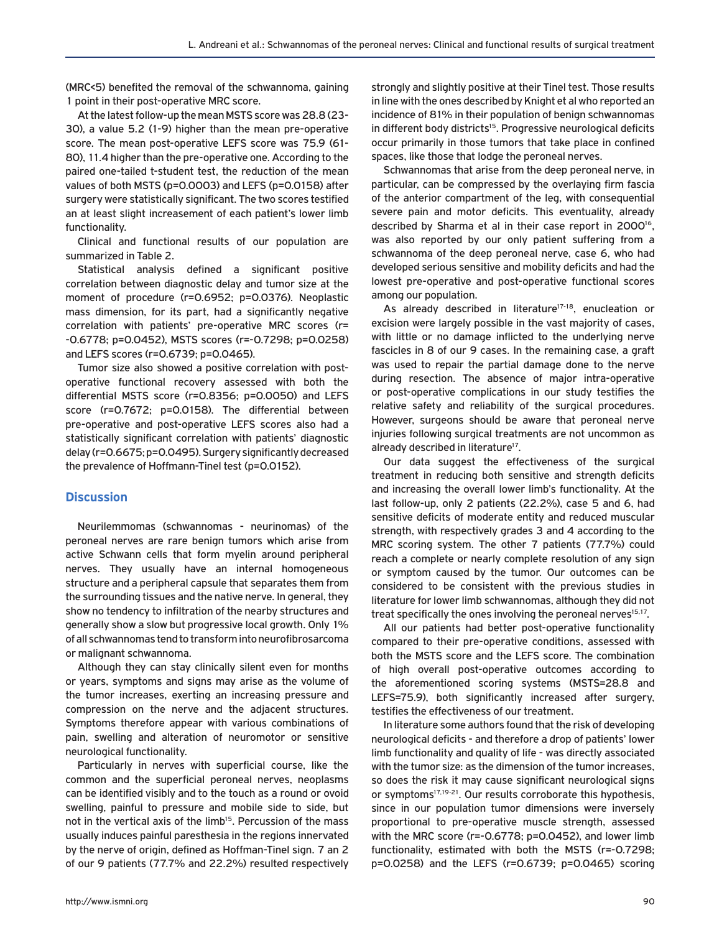(MRC<5) benefited the removal of the schwannoma, gaining 1 point in their post-operative MRC score.

At the latest follow-up the mean MSTS score was 28.8 (23- 30), a value 5.2 (1-9) higher than the mean pre-operative score. The mean post-operative LEFS score was 75.9 (61- 80), 11.4 higher than the pre-operative one. According to the paired one-tailed t-student test, the reduction of the mean values of both MSTS (p=0.0003) and LEFS (p=0.0158) after surgery were statistically significant. The two scores testified an at least slight increasement of each patient's lower limb functionality.

Clinical and functional results of our population are summarized in Table 2.

Statistical analysis defined a significant positive correlation between diagnostic delay and tumor size at the moment of procedure (r=0.6952; p=0.0376). Neoplastic mass dimension, for its part, had a significantly negative correlation with patients' pre-operative MRC scores (r= -0.6778; p=0.0452), MSTS scores (r=-0.7298; p=0.0258) and LEFS scores (r=0.6739; p=0.0465).

Tumor size also showed a positive correlation with postoperative functional recovery assessed with both the differential MSTS score (r=0.8356; p=0.0050) and LEFS score (r=0.7672; p=0.0158). The differential between pre-operative and post-operative LEFS scores also had a statistically significant correlation with patients' diagnostic delay (r=0.6675; p=0.0495). Surgery significantly decreased the prevalence of Hoffmann-Tinel test (p=0.0152).

## **Discussion**

Neurilemmomas (schwannomas - neurinomas) of the peroneal nerves are rare benign tumors which arise from active Schwann cells that form myelin around peripheral nerves. They usually have an internal homogeneous structure and a peripheral capsule that separates them from the surrounding tissues and the native nerve. In general, they show no tendency to infiltration of the nearby structures and generally show a slow but progressive local growth. Only 1% of all schwannomas tend to transform into neurofibrosarcoma or malignant schwannoma.

Although they can stay clinically silent even for months or years, symptoms and signs may arise as the volume of the tumor increases, exerting an increasing pressure and compression on the nerve and the adjacent structures. Symptoms therefore appear with various combinations of pain, swelling and alteration of neuromotor or sensitive neurological functionality.

Particularly in nerves with superficial course, like the common and the superficial peroneal nerves, neoplasms can be identified visibly and to the touch as a round or ovoid swelling, painful to pressure and mobile side to side, but not in the vertical axis of the limb<sup>15</sup>. Percussion of the mass usually induces painful paresthesia in the regions innervated by the nerve of origin, defined as Hoffman-Tinel sign. 7 an 2 of our 9 patients (77.7% and 22.2%) resulted respectively strongly and slightly positive at their Tinel test. Those results in line with the ones described by Knight et al who reported an incidence of 81% in their population of benign schwannomas in different body districts<sup>15</sup>. Progressive neurological deficits occur primarily in those tumors that take place in confined spaces, like those that lodge the peroneal nerves.

Schwannomas that arise from the deep peroneal nerve, in particular, can be compressed by the overlaying firm fascia of the anterior compartment of the leg, with consequential severe pain and motor deficits. This eventuality, already described by Sharma et al in their case report in 2000<sup>16</sup>, was also reported by our only patient suffering from a schwannoma of the deep peroneal nerve, case 6, who had developed serious sensitive and mobility deficits and had the lowest pre-operative and post-operative functional scores among our population.

As already described in literature<sup>17-18</sup>, enucleation or excision were largely possible in the vast majority of cases, with little or no damage inflicted to the underlying nerve fascicles in 8 of our 9 cases. In the remaining case, a graft was used to repair the partial damage done to the nerve during resection. The absence of major intra-operative or post-operative complications in our study testifies the relative safety and reliability of the surgical procedures. However, surgeons should be aware that peroneal nerve injuries following surgical treatments are not uncommon as already described in literature<sup>17</sup>.

Our data suggest the effectiveness of the surgical treatment in reducing both sensitive and strength deficits and increasing the overall lower limb's functionality. At the last follow-up, only 2 patients (22.2%), case 5 and 6, had sensitive deficits of moderate entity and reduced muscular strength, with respectively grades 3 and 4 according to the MRC scoring system. The other 7 patients (77.7%) could reach a complete or nearly complete resolution of any sign or symptom caused by the tumor. Our outcomes can be considered to be consistent with the previous studies in literature for lower limb schwannomas, although they did not treat specifically the ones involving the peroneal nerves<sup>15,17</sup>.

All our patients had better post-operative functionality compared to their pre-operative conditions, assessed with both the MSTS score and the LEFS score. The combination of high overall post-operative outcomes according to the aforementioned scoring systems (MSTS=28.8 and LEFS=75.9), both significantly increased after surgery, testifies the effectiveness of our treatment.

In literature some authors found that the risk of developing neurological deficits - and therefore a drop of patients' lower limb functionality and quality of life - was directly associated with the tumor size: as the dimension of the tumor increases, so does the risk it may cause significant neurological signs or symptoms<sup>17,19-21</sup>. Our results corroborate this hypothesis, since in our population tumor dimensions were inversely proportional to pre-operative muscle strength, assessed with the MRC score (r=-0.6778; p=0.0452), and lower limb functionality, estimated with both the MSTS (r=-0.7298; p=0.0258) and the LEFS (r=0.6739; p=0.0465) scoring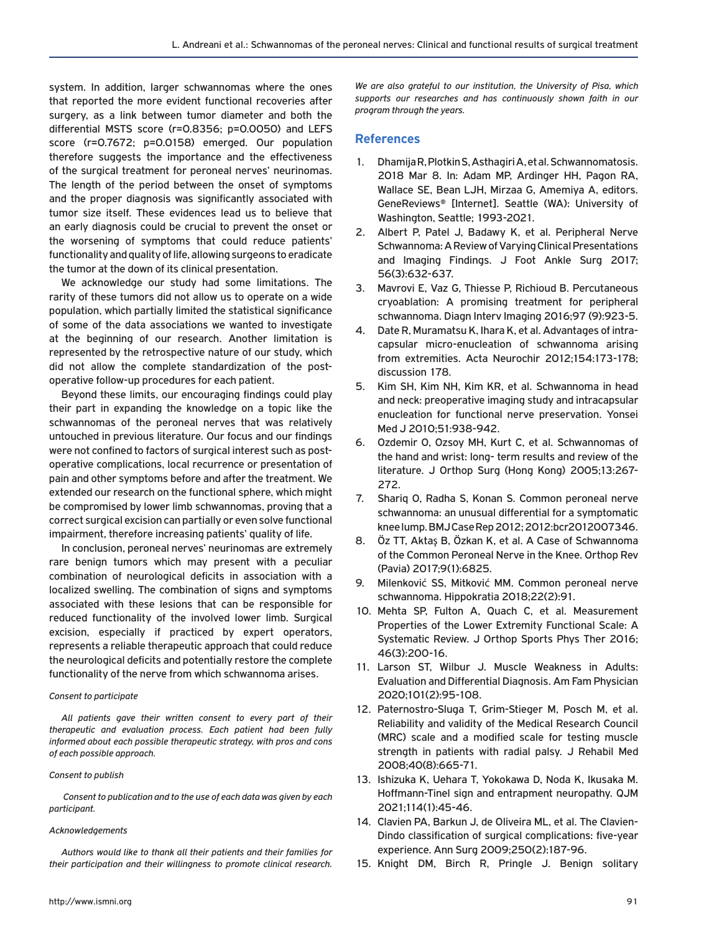system. In addition, larger schwannomas where the ones that reported the more evident functional recoveries after surgery, as a link between tumor diameter and both the differential MSTS score (r=0.8356; p=0.0050) and LEFS score (r=0.7672; p=0.0158) emerged. Our population therefore suggests the importance and the effectiveness of the surgical treatment for peroneal nerves' neurinomas. The length of the period between the onset of symptoms and the proper diagnosis was significantly associated with tumor size itself. These evidences lead us to believe that an early diagnosis could be crucial to prevent the onset or the worsening of symptoms that could reduce patients' functionality and quality of life, allowing surgeons to eradicate the tumor at the down of its clinical presentation.

We acknowledge our study had some limitations. The rarity of these tumors did not allow us to operate on a wide population, which partially limited the statistical significance of some of the data associations we wanted to investigate at the beginning of our research. Another limitation is represented by the retrospective nature of our study, which did not allow the complete standardization of the postoperative follow-up procedures for each patient.

Beyond these limits, our encouraging findings could play their part in expanding the knowledge on a topic like the schwannomas of the peroneal nerves that was relatively untouched in previous literature. Our focus and our findings were not confined to factors of surgical interest such as postoperative complications, local recurrence or presentation of pain and other symptoms before and after the treatment. We extended our research on the functional sphere, which might be compromised by lower limb schwannomas, proving that a correct surgical excision can partially or even solve functional impairment, therefore increasing patients' quality of life.

In conclusion, peroneal nerves' neurinomas are extremely rare benign tumors which may present with a peculiar combination of neurological deficits in association with a localized swelling. The combination of signs and symptoms associated with these lesions that can be responsible for reduced functionality of the involved lower limb. Surgical excision, especially if practiced by expert operators, represents a reliable therapeutic approach that could reduce the neurological deficits and potentially restore the complete functionality of the nerve from which schwannoma arises.

#### *Consent to participate*

*All patients gave their written consent to every part of their therapeutic and evaluation process. Each patient had been fully informed about each possible therapeutic strategy, with pros and cons of each possible approach.*

#### *Consent to publish*

 *Consent to publication and to the use of each data was given by each participant.*

#### *Acknowledgements*

*Authors would like to thank all their patients and their families for their participation and their willingness to promote clinical research.* 

*We are also grateful to our institution, the University of Pisa, which supports our researches and has continuously shown faith in our program through the years.*

#### **References**

- 1. Dhamija R, Plotkin S, Asthagiri A, et al. Schwannomatosis. 2018 Mar 8. In: Adam MP, Ardinger HH, Pagon RA, Wallace SE, Bean LJH, Mirzaa G, Amemiya A, editors. GeneReviews® [Internet]. Seattle (WA): University of Washington, Seattle; 1993-2021.
- 2. Albert P, Patel J, Badawy K, et al. Peripheral Nerve Schwannoma: A Review of Varying Clinical Presentations and Imaging Findings. J Foot Ankle Surg 2017; 56(3):632-637.
- 3. Mavrovi E, Vaz G, Thiesse P, Richioud B. Percutaneous cryoablation: A promising treatment for peripheral schwannoma. Diagn Interv Imaging 2016;97 (9):923-5.
- 4. Date R, Muramatsu K, Ihara K, et al. Advantages of intracapsular micro-enucleation of schwannoma arising from extremities. Acta Neurochir 2012;154:173-178; discussion 178.
- 5. Kim SH, Kim NH, Kim KR, et al. Schwannoma in head and neck: preoperative imaging study and intracapsular enucleation for functional nerve preservation. Yonsei Med J 2010;51:938-942.
- 6. Ozdemir O, Ozsoy MH, Kurt C, et al. Schwannomas of the hand and wrist: long- term results and review of the literature. J Orthop Surg (Hong Kong) 2005;13:267- 272.
- 7. Shariq O, Radha S, Konan S. Common peroneal nerve schwannoma: an unusual differential for a symptomatic knee lump. BMJ Case Rep 2012; 2012:bcr2012007346.
- 8. Öz TT, Aktaş B, Özkan K, et al. A Case of Schwannoma of the Common Peroneal Nerve in the Knee. Orthop Rev (Pavia) 2017;9(1):6825.
- 9. Milenković SS, Mitković MM. Common peroneal nerve schwannoma. Hippokratia 2018;22(2):91.
- 10. Mehta SP, Fulton A, Quach C, et al. Measurement Properties of the Lower Extremity Functional Scale: A Systematic Review. J Orthop Sports Phys Ther 2016; 46(3):200-16.
- 11. Larson ST, Wilbur J. Muscle Weakness in Adults: Evaluation and Differential Diagnosis. Am Fam Physician 2020;101(2):95-108.
- 12. Paternostro-Sluga T, Grim-Stieger M, Posch M, et al. Reliability and validity of the Medical Research Council (MRC) scale and a modified scale for testing muscle strength in patients with radial palsy. J Rehabil Med 2008;40(8):665-71.
- 13. Ishizuka K, Uehara T, Yokokawa D, Noda K, Ikusaka M. Hoffmann-Tinel sign and entrapment neuropathy. QJM 2021;114(1):45-46.
- 14. Clavien PA, Barkun J, de Oliveira ML, et al. The Clavien-Dindo classification of surgical complications: five-year experience. Ann Surg 2009;250(2):187-96.
- 15. Knight DM, Birch R, Pringle J. Benign solitary